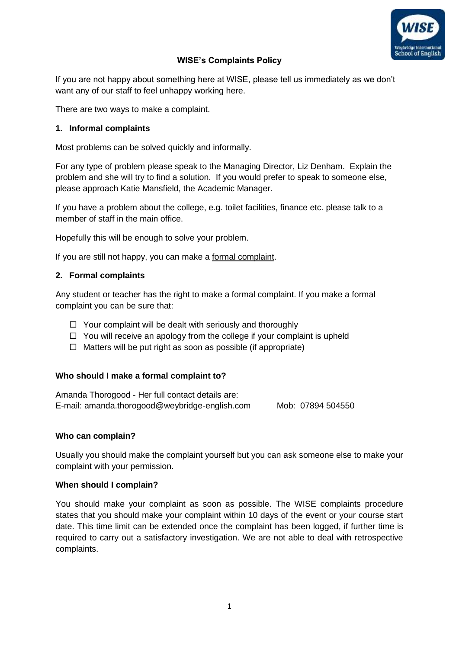

# **WISE's Complaints Policy**

If you are not happy about something here at WISE, please tell us immediately as we don't want any of our staff to feel unhappy working here.

There are two ways to make a complaint.

# **1. Informal complaints**

Most problems can be solved quickly and informally.

For any type of problem please speak to the Managing Director, Liz Denham. Explain the problem and she will try to find a solution. If you would prefer to speak to someone else, please approach Katie Mansfield, the Academic Manager.

If you have a problem about the college, e.g. toilet facilities, finance etc. please talk to a member of staff in the main office.

Hopefully this will be enough to solve your problem.

If you are still not happy, you can make a formal complaint.

# **2. Formal complaints**

Any student or teacher has the right to make a formal complaint. If you make a formal complaint you can be sure that:

- $\Box$  Your complaint will be dealt with seriously and thoroughly
- $\Box$  You will receive an apology from the college if your complaint is upheld
- $\Box$  Matters will be put right as soon as possible (if appropriate)

# **Who should I make a formal complaint to?**

Amanda Thorogood - Her full contact details are: E-mail: [amanda.thorogood@weybridge-english.com](mailto:amanda.thorogood@weybridge-english.com) Mob: 07894 504550

# **Who can complain?**

Usually you should make the complaint yourself but you can ask someone else to make your complaint with your permission.

# **When should I complain?**

You should make your complaint as soon as possible. The WISE complaints procedure states that you should make your complaint within 10 days of the event or your course start date. This time limit can be extended once the complaint has been logged, if further time is required to carry out a satisfactory investigation. We are not able to deal with retrospective complaints.